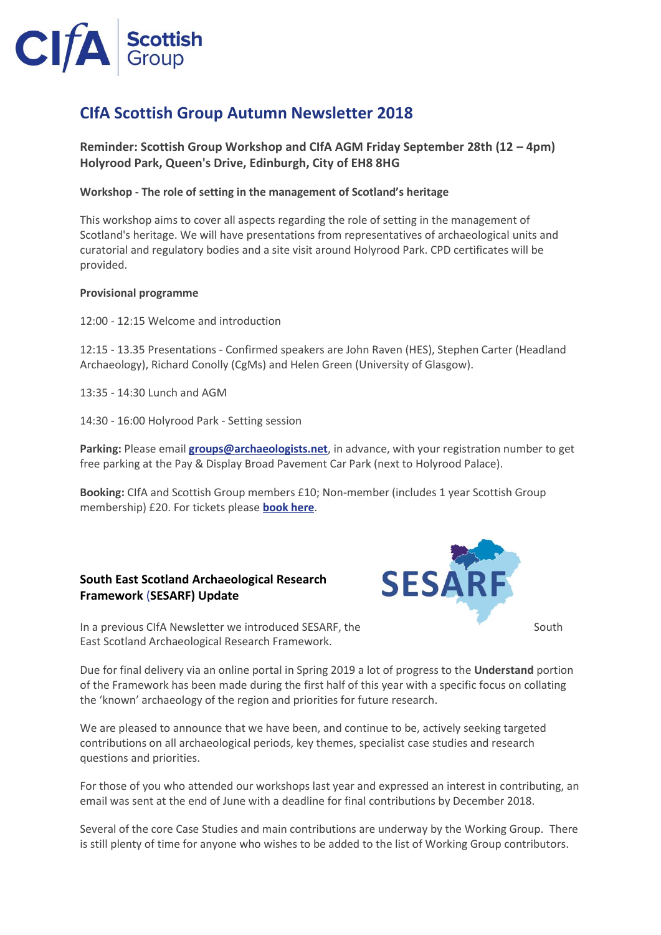

# **CIfA Scottish Group Autumn Newsletter 2018**

**Reminder: Scottish Group Workshop and CIfA AGM Friday September 28th (12 – 4pm) Holyrood Park, Queen's Drive, Edinburgh, City of EH8 8HG**

### **Workshop - The role of setting in the management of Scotland's heritage**

This workshop aims to cover all aspects regarding the role of setting in the management of Scotland's heritage. We will have presentations from representatives of archaeological units and curatorial and regulatory bodies and a site visit around Holyrood Park. CPD certificates will be provided.

#### **Provisional programme**

12:00 - 12:15 Welcome and introduction

12:15 - 13.35 Presentations - Confirmed speakers are John Raven (HES), Stephen Carter (Headland Archaeology), Richard Conolly (CgMs) and Helen Green (University of Glasgow).

13:35 - 14:30 Lunch and AGM

14:30 - 16:00 Holyrood Park - Setting session

**Parking:** Please email **[groups@archaeologists.net](mailto:groups@archaeologists.net)**, in advance, with your registration number to get free parking at the Pay & Display Broad Pavement Car Park (next to Holyrood Palace).

**Booking:** CIfA and Scottish Group members £10; Non-member (includes 1 year Scottish Group membership) £20. For tickets please **[book here](http://www.archaeologists.net/civicrm/event/register?id=3&reset=1)**.

### **South East Scotland Archaeological Research Framework** (**SESARF) Update**



In a previous CIfA Newsletter we introduced SESARF, the South South East Scotland Archaeological Research Framework.

Due for final delivery via an online portal in Spring 2019 a lot of progress to the **Understand** portion of the Framework has been made during the first half of this year with a specific focus on collating the 'known' archaeology of the region and priorities for future research.

We are pleased to announce that we have been, and continue to be, actively seeking targeted contributions on all archaeological periods, key themes, specialist case studies and research questions and priorities.

For those of you who attended our workshops last year and expressed an interest in contributing, an email was sent at the end of June with a deadline for final contributions by December 2018.

Several of the core Case Studies and main contributions are underway by the Working Group. There is still plenty of time for anyone who wishes to be added to the list of Working Group contributors.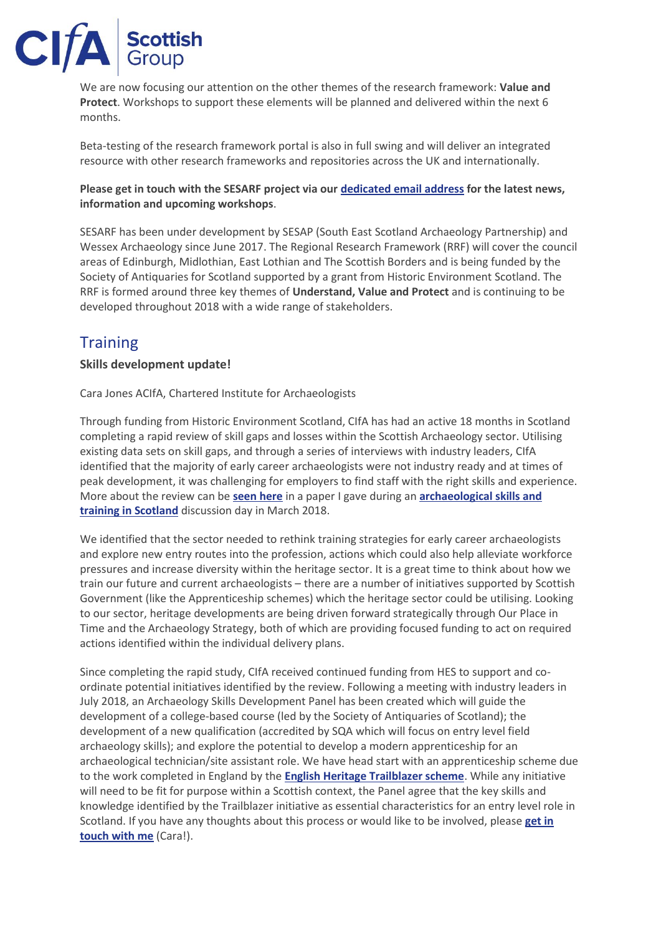

We are now focusing our attention on the other themes of the research framework: **Value and Protect**. Workshops to support these elements will be planned and delivered within the next 6 months.

Beta-testing of the research framework portal is also in full swing and will deliver an integrated resource with other research frameworks and repositories across the UK and internationally.

## **Please get in touch with the SESARF project via our [dedicated email address](mailto:sesarf@wessexarch.co.uk) for the latest news, information and upcoming workshops**.

SESARF has been under development by SESAP (South East Scotland Archaeology Partnership) and Wessex Archaeology since June 2017. The Regional Research Framework (RRF) will cover the council areas of Edinburgh, Midlothian, East Lothian and The Scottish Borders and is being funded by the Society of Antiquaries for Scotland supported by a grant from Historic Environment Scotland. The RRF is formed around three key themes of **Understand, Value and Protect** and is continuing to be developed throughout 2018 with a wide range of stakeholders.

# **Training**

# **Skills development update!**

Cara Jones ACIfA, Chartered Institute for Archaeologists

Through funding from Historic Environment Scotland, CIfA has had an active 18 months in Scotland completing a rapid review of skill gaps and losses within the Scottish Archaeology sector. Utilising existing data sets on skill gaps, and through a series of interviews with industry leaders, CIfA identified that the majority of early career archaeologists were not industry ready and at times of peak development, it was challenging for employers to find staff with the right skills and experience. More about the review can be **[seen here](http://www.youtube.com/watch?v=57GyUIQNJG4&index=5&list=PLjP3TtHXSFfXQszuHOjdVdefi-TxLnKIQ&t=0s)** in a paper I gave during an **[archaeological skills and](https://blog.historicenvironment.scot/2018/04/a-career-in-ruins/)  [training in Scotland](https://blog.historicenvironment.scot/2018/04/a-career-in-ruins/)** discussion day in March 2018.

We identified that the sector needed to rethink training strategies for early career archaeologists and explore new entry routes into the profession, actions which could also help alleviate workforce pressures and increase diversity within the heritage sector. It is a great time to think about how we train our future and current archaeologists – there are a number of initiatives supported by Scottish Government (like the Apprenticeship schemes) which the heritage sector could be utilising. Looking to our sector, heritage developments are being driven forward strategically through Our Place in Time and the Archaeology Strategy, both of which are providing focused funding to act on required actions identified within the individual delivery plans.

Since completing the rapid study, CIfA received continued funding from HES to support and coordinate potential initiatives identified by the review. Following a meeting with industry leaders in July 2018, an Archaeology Skills Development Panel has been created which will guide the development of a college-based course (led by the Society of Antiquaries of Scotland); the development of a new qualification (accredited by SQA which will focus on entry level field archaeology skills); and explore the potential to develop a modern apprenticeship for an archaeological technician/site assistant role. We have head start with an apprenticeship scheme due to the work completed in England by the **[English Heritage Trailblazer scheme](https://historicengland.org.uk/services-skills/training-skills/work-based-training/heritage-apprenticeships/)**. While any initiative will need to be fit for purpose within a Scottish context, the Panel agree that the key skills and knowledge identified by the Trailblazer initiative as essential characteristics for an entry level role in Scotland. If you have any thoughts about this process or would like to be involved, please **[get in](mailto:cara.jones@archaeologists.net)  [touch with me](mailto:cara.jones@archaeologists.net)** (Cara!).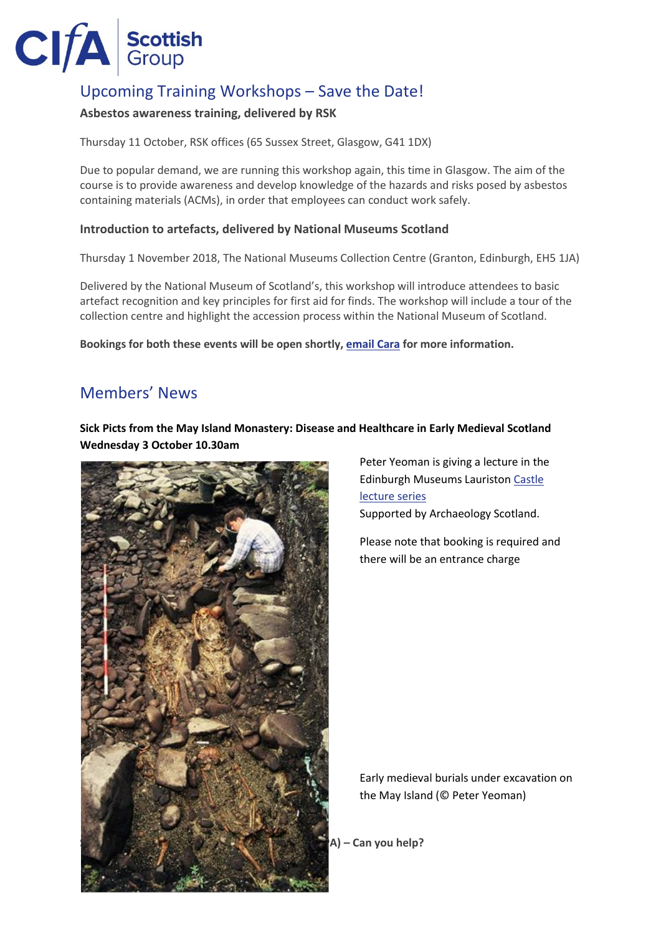

# Upcoming Training Workshops – Save the Date!

# **Asbestos awareness training, delivered by RSK**

Thursday 11 October, RSK offices (65 Sussex Street, Glasgow, G41 1DX)

Due to popular demand, we are running this workshop again, this time in Glasgow. The aim of the course is to provide awareness and develop knowledge of the hazards and risks posed by asbestos containing materials (ACMs), in order that employees can conduct work safely.

### **Introduction to artefacts, delivered by National Museums Scotland**

Thursday 1 November 2018, The National Museums Collection Centre (Granton, Edinburgh, EH5 1JA)

Delivered by the National Museum of Scotland's, this workshop will introduce attendees to basic artefact recognition and key principles for first aid for finds. The workshop will include a tour of the collection centre and highlight the accession process within the National Museum of Scotland.

**Bookings for both these events will be open shortly, [email Cara](mailto:cara.jones@archaeologists.net) for more information.**

# Members' News

## **Sick Picts from the May Island Monastery: Disease and Healthcare in Early Medieval Scotland Wednesday 3 October 10.30am**



Peter Yeoman is giving a lecture in the Edinburgh Museums Lauristo[n Castle](https://www.edinburghmuseums.org.uk/whats-on/lauriston-castle-lecture-series)  [lecture series](https://www.edinburghmuseums.org.uk/whats-on/lauriston-castle-lecture-series) Supported by Archaeology Scotland.

Please note that booking is required and there will be an entrance charge

Early medieval burials under excavation on the May Island (© Peter Yeoman)

**Scotland's Archaeological Periods and Ages (ScAPA) – Can you help?**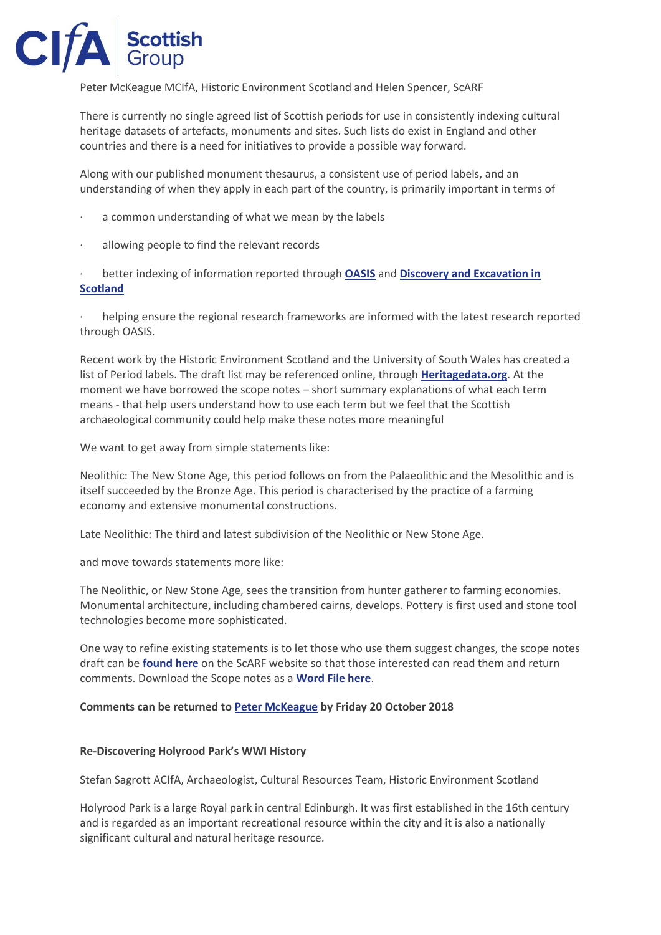

Peter McKeague MCIfA, Historic Environment Scotland and Helen Spencer, ScARF

There is currently no single agreed list of Scottish periods for use in consistently indexing cultural heritage datasets of artefacts, monuments and sites. Such lists do exist in England and other countries and there is a need for initiatives to provide a possible way forward.

Along with our published monument thesaurus, a consistent use of period labels, and an understanding of when they apply in each part of the country, is primarily important in terms of

- a common understanding of what we mean by the labels
- allowing people to find the relevant records

· better indexing of information reported through **[OASIS](https://oasis.ac.uk/pages/wiki/Main)** and **[Discovery and Excavation in](https://des.rcahms.gov.uk/)  [Scotland](https://des.rcahms.gov.uk/)**

helping ensure the regional research frameworks are informed with the latest research reported through OASIS.

Recent work by the Historic Environment Scotland and the University of South Wales has created a list of Period labels. The draft list may be referenced online, through **[Heritagedata.org](http://heritagedata.org/live/schemes/scapa.html)**. At the moment we have borrowed the scope notes – short summary explanations of what each term means - that help users understand how to use each term but we feel that the Scottish archaeological community could help make these notes more meaningful

We want to get away from simple statements like:

Neolithic: The New Stone Age, this period follows on from the Palaeolithic and the Mesolithic and is itself succeeded by the Bronze Age. This period is characterised by the practice of a farming economy and extensive monumental constructions.

Late Neolithic: The third and latest subdivision of the Neolithic or New Stone Age.

and move towards statements more like:

The Neolithic, or New Stone Age, sees the transition from hunter gatherer to farming economies. Monumental architecture, including chambered cairns, develops. Pottery is first used and stone tool technologies become more sophisticated.

One way to refine existing statements is to let those who use them suggest changes, the scope notes draft can be **[found here](https://www.scottishheritagehub.com/content/scapa)** on the ScARF website so that those interested can read them and return comments. Download the Scope notes as a **[Word File here](https://www.scottishheritagehub.com/sites/default/files/u13/ScAPA%20archaeological%20periods%20definitions%20for%20ScARF.docx)**.

#### **Comments can be returned to [Peter McKeague](mailto:peter.mckeague@hes.scot) by Friday 20 October 2018**

#### **Re-Discovering Holyrood Park's WWI History**

Stefan Sagrott ACIfA, Archaeologist, Cultural Resources Team, Historic Environment Scotland

Holyrood Park is a large Royal park in central Edinburgh. It was first established in the 16th century and is regarded as an important recreational resource within the city and it is also a nationally significant cultural and natural heritage resource.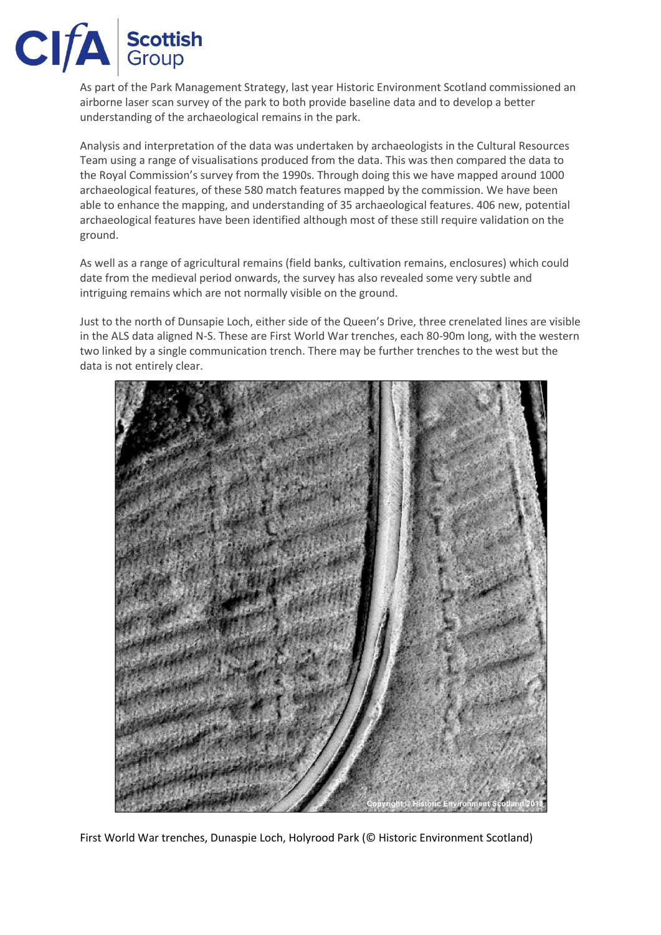

As part of the Park Management Strategy, last year Historic Environment Scotland commissioned an airborne laser scan survey of the park to both provide baseline data and to develop a better understanding of the archaeological remains in the park.

Analysis and interpretation of the data was undertaken by archaeologists in the Cultural Resources Team using a range of visualisations produced from the data. This was then compared the data to the Royal Commission's survey from the 1990s. Through doing this we have mapped around 1000 archaeological features, of these 580 match features mapped by the commission. We have been able to enhance the mapping, and understanding of 35 archaeological features. 406 new, potential archaeological features have been identified although most of these still require validation on the ground.

As well as a range of agricultural remains (field banks, cultivation remains, enclosures) which could date from the medieval period onwards, the survey has also revealed some very subtle and intriguing remains which are not normally visible on the ground.

Just to the north of Dunsapie Loch, either side of the Queen's Drive, three crenelated lines are visible in the ALS data aligned N-S. These are First World War trenches, each 80-90m long, with the western two linked by a single communication trench. There may be further trenches to the west but the data is not entirely clear.



First World War trenches, Dunaspie Loch, Holyrood Park (© Historic Environment Scotland)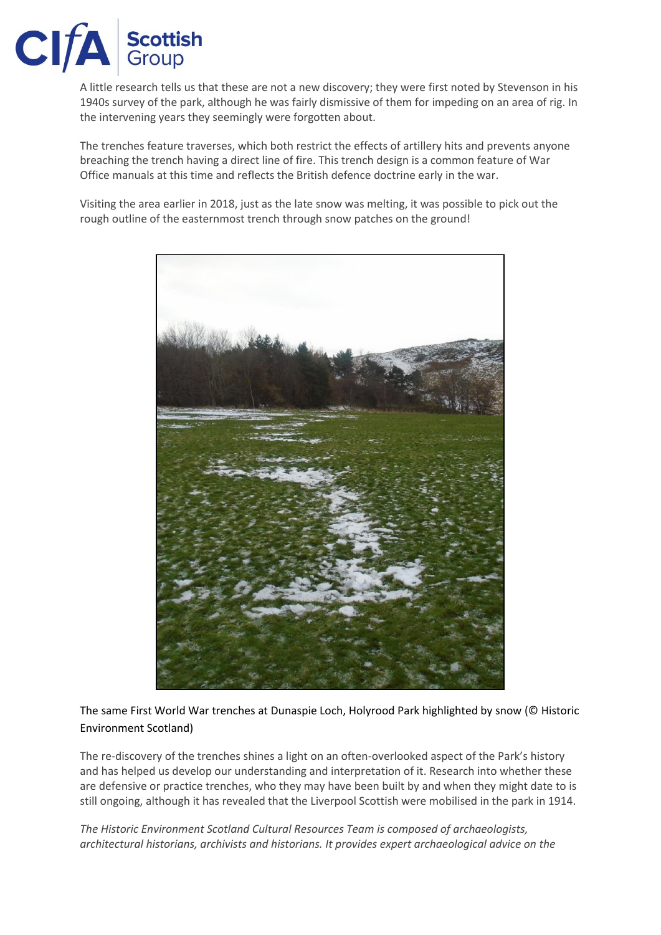

A little research tells us that these are not a new discovery; they were first noted by Stevenson in his 1940s survey of the park, although he was fairly dismissive of them for impeding on an area of rig. In the intervening years they seemingly were forgotten about.

The trenches feature traverses, which both restrict the effects of artillery hits and prevents anyone breaching the trench having a direct line of fire. This trench design is a common feature of War Office manuals at this time and reflects the British defence doctrine early in the war.

Visiting the area earlier in 2018, just as the late snow was melting, it was possible to pick out the rough outline of the easternmost trench through snow patches on the ground!



The same First World War trenches at Dunaspie Loch, Holyrood Park highlighted by snow (© Historic Environment Scotland)

The re-discovery of the trenches shines a light on an often-overlooked aspect of the Park's history and has helped us develop our understanding and interpretation of it. Research into whether these are defensive or practice trenches, who they may have been built by and when they might date to is still ongoing, although it has revealed that the Liverpool Scottish were mobilised in the park in 1914.

*The Historic Environment Scotland Cultural Resources Team is composed of archaeologists, architectural historians, archivists and historians. It provides expert archaeological advice on the*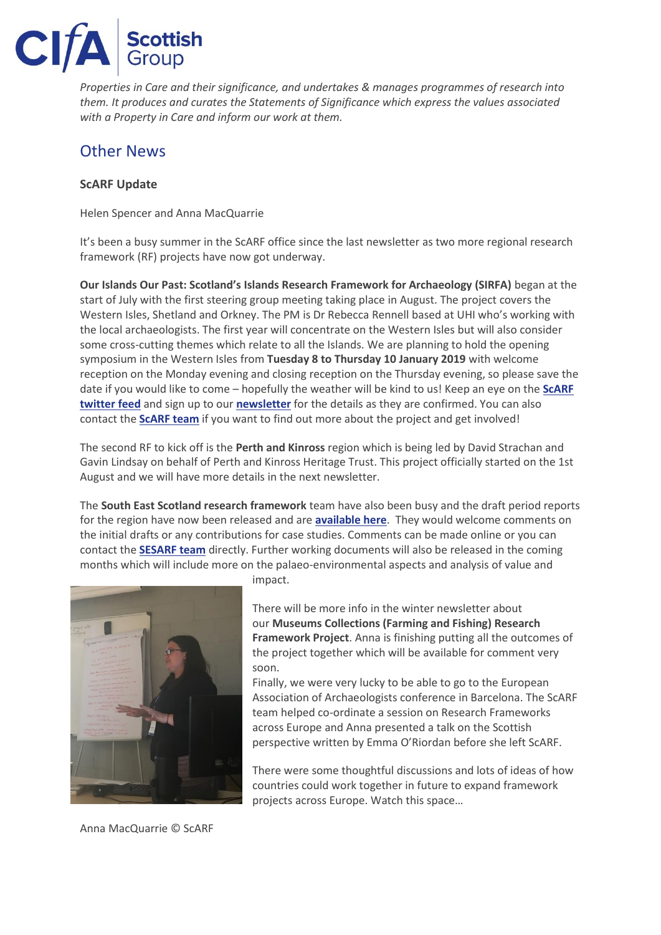

*Properties in Care and their significance, and undertakes & manages programmes of research into them. It produces and curates the Statements of Significance which express the values associated with a Property in Care and inform our work at them.*

# Other News

### **ScARF Update**

Helen Spencer and Anna MacQuarrie

It's been a busy summer in the ScARF office since the last newsletter as two more regional research framework (RF) projects have now got underway.

**Our Islands Our Past: Scotland's Islands Research Framework for Archaeology (SIRFA)** began at the start of July with the first steering group meeting taking place in August. The project covers the Western Isles, Shetland and Orkney. The PM is Dr Rebecca Rennell based at UHI who's working with the local archaeologists. The first year will concentrate on the Western Isles but will also consider some cross-cutting themes which relate to all the Islands. We are planning to hold the opening symposium in the Western Isles from **Tuesday 8 to Thursday 10 January 2019** with welcome reception on the Monday evening and closing reception on the Thursday evening, so please save the date if you would like to come – hopefully the weather will be kind to us! Keep an eye on the **[ScARF](https://twitter.com/ScARFHub)  [twitter feed](https://twitter.com/ScARFHub)** and sign up to our **[newsletter](https://us11.list-manage.com/subscribe?u=045457e56db3e5455f8068512&id=af9344daf0)** for the details as they are confirmed. You can also contact the **[ScARF team](mailto:scarf@socantscot.org)** if you want to find out more about the project and get involved!

The second RF to kick off is the **Perth and Kinross** region which is being led by David Strachan and Gavin Lindsay on behalf of Perth and Kinross Heritage Trust. This project officially started on the 1st August and we will have more details in the next newsletter.

The **South East Scotland research framework** team have also been busy and the draft period reports for the region have now been released and are **[available here](https://www.dropbox.com/sh/jh22xqdrftz1soy/AABkZx7k4JvRAfc3DI_ixiQWa?dl=0)**. They would welcome comments on the initial drafts or any contributions for case studies. Comments can be made online or you can contact the **[SESARF team](mailto:sesarf@wessexarch.co.uk)** directly. Further working documents will also be released in the coming months which will include more on the palaeo-environmental aspects and analysis of value and



impact.

There will be more info in the winter newsletter about our **Museums Collections (Farming and Fishing) Research Framework Project**. Anna is finishing putting all the outcomes of the project together which will be available for comment very soon.

Finally, we were very lucky to be able to go to the European Association of Archaeologists conference in Barcelona. The ScARF team helped co-ordinate a session on Research Frameworks across Europe and Anna presented a talk on the Scottish perspective written by Emma O'Riordan before she left ScARF.

There were some thoughtful discussions and lots of ideas of how countries could work together in future to expand framework projects across Europe. Watch this space…

Anna MacQuarrie © ScARF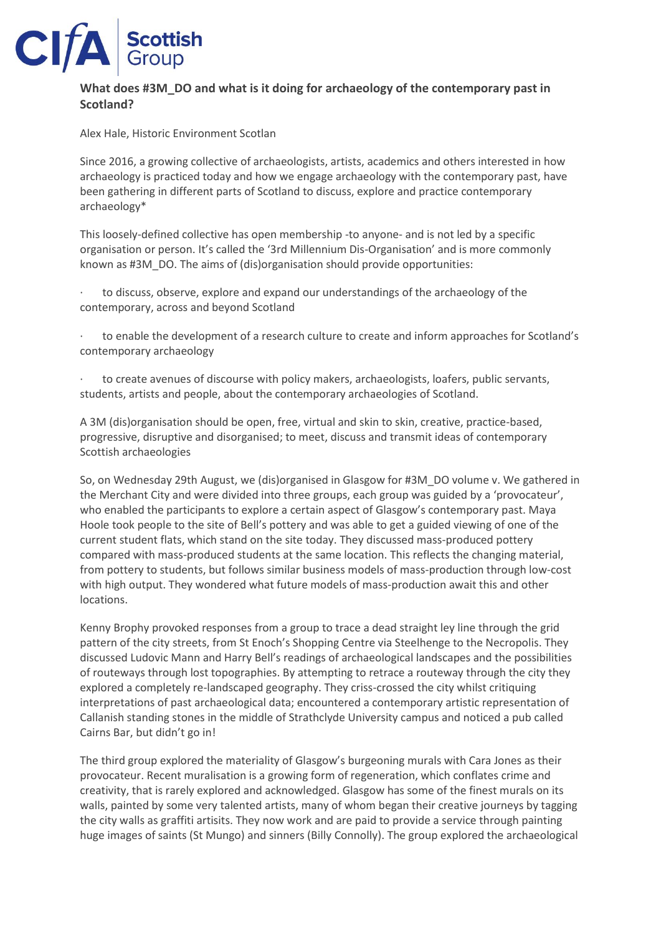

# **What does #3M\_DO and what is it doing for archaeology of the contemporary past in Scotland?**

Alex Hale, Historic Environment Scotlan

Since 2016, a growing collective of archaeologists, artists, academics and others interested in how archaeology is practiced today and how we engage archaeology with the contemporary past, have been gathering in different parts of Scotland to discuss, explore and practice contemporary archaeology\*

This loosely-defined collective has open membership -to anyone- and is not led by a specific organisation or person. It's called the '3rd Millennium Dis-Organisation' and is more commonly known as #3M\_DO. The aims of (dis)organisation should provide opportunities:

to discuss, observe, explore and expand our understandings of the archaeology of the contemporary, across and beyond Scotland

· to enable the development of a research culture to create and inform approaches for Scotland's contemporary archaeology

to create avenues of discourse with policy makers, archaeologists, loafers, public servants, students, artists and people, about the contemporary archaeologies of Scotland.

A 3M (dis)organisation should be open, free, virtual and skin to skin, creative, practice-based, progressive, disruptive and disorganised; to meet, discuss and transmit ideas of contemporary Scottish archaeologies

So, on Wednesday 29th August, we (dis)organised in Glasgow for #3M\_DO volume v. We gathered in the Merchant City and were divided into three groups, each group was guided by a 'provocateur', who enabled the participants to explore a certain aspect of Glasgow's contemporary past. Maya Hoole took people to the site of Bell's pottery and was able to get a guided viewing of one of the current student flats, which stand on the site today. They discussed mass-produced pottery compared with mass-produced students at the same location. This reflects the changing material, from pottery to students, but follows similar business models of mass-production through low-cost with high output. They wondered what future models of mass-production await this and other locations.

Kenny Brophy provoked responses from a group to trace a dead straight ley line through the grid pattern of the city streets, from St Enoch's Shopping Centre via Steelhenge to the Necropolis. They discussed Ludovic Mann and Harry Bell's readings of archaeological landscapes and the possibilities of routeways through lost topographies. By attempting to retrace a routeway through the city they explored a completely re-landscaped geography. They criss-crossed the city whilst critiquing interpretations of past archaeological data; encountered a contemporary artistic representation of Callanish standing stones in the middle of Strathclyde University campus and noticed a pub called Cairns Bar, but didn't go in!

The third group explored the materiality of Glasgow's burgeoning murals with Cara Jones as their provocateur. Recent muralisation is a growing form of regeneration, which conflates crime and creativity, that is rarely explored and acknowledged. Glasgow has some of the finest murals on its walls, painted by some very talented artists, many of whom began their creative journeys by tagging the city walls as graffiti artisits. They now work and are paid to provide a service through painting huge images of saints (St Mungo) and sinners (Billy Connolly). The group explored the archaeological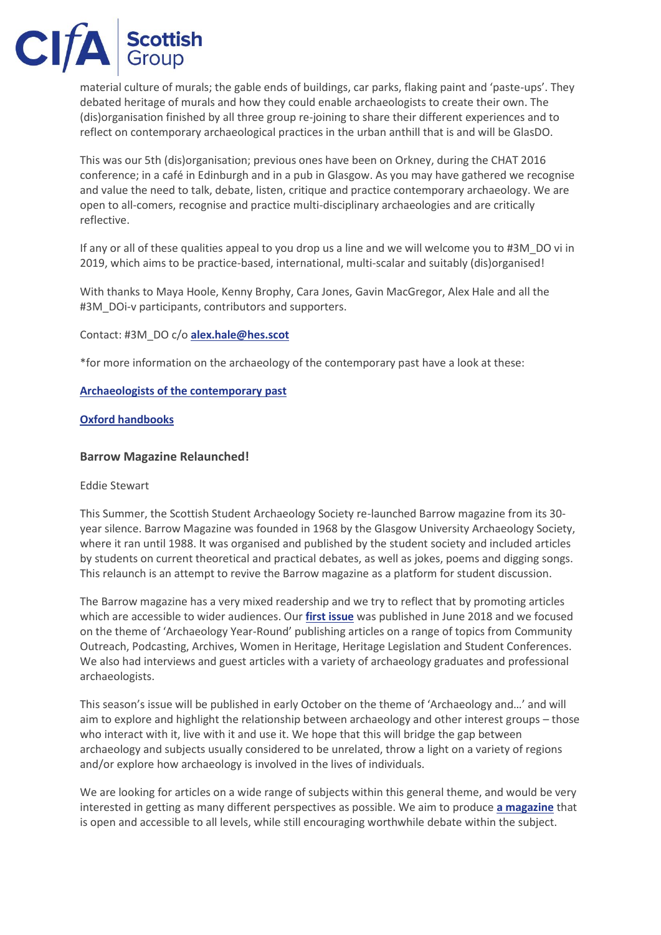material culture of murals; the gable ends of buildings, car parks, flaking paint and 'paste-ups'. They debated heritage of murals and how they could enable archaeologists to create their own. The (dis)organisation finished by all three group re-joining to share their different experiences and to reflect on contemporary archaeological practices in the urban anthill that is and will be GlasDO.

This was our 5th (dis)organisation; previous ones have been on Orkney, during the CHAT 2016 conference; in a café in Edinburgh and in a pub in Glasgow. As you may have gathered we recognise and value the need to talk, debate, listen, critique and practice contemporary archaeology. We are open to all-comers, recognise and practice multi-disciplinary archaeologies and are critically reflective.

If any or all of these qualities appeal to you drop us a line and we will welcome you to #3M\_DO vi in 2019, which aims to be practice-based, international, multi-scalar and suitably (dis)organised!

With thanks to Maya Hoole, Kenny Brophy, Cara Jones, Gavin MacGregor, Alex Hale and all the #3M\_DOi-v participants, contributors and supporters.

Contact: #3M\_DO c/o **[alex.hale@hes.scot](mailto:alex.hale@hes.scot)**

\*for more information on the archaeology of the contemporary past have a look at these:

### **[Archaeologists of the contemporary past](https://books.google.co.uk/books/about/Archaeologies_of_the_Contemporary_Past.html?id=kBs9mQEACAAJ&redir_esc=y)**

### **[Oxford handbooks](http://www.oxfordhandbooks.com/view/10.1093/oxfordhb/9780199602001.001.0001/oxfordhb-9780199602001)**

### **Barrow Magazine Relaunched!**

#### Eddie Stewart

This Summer, the Scottish Student Archaeology Society re-launched Barrow magazine from its 30 year silence. Barrow Magazine was founded in 1968 by the Glasgow University Archaeology Society, where it ran until 1988. It was organised and published by the student society and included articles by students on current theoretical and practical debates, as well as jokes, poems and digging songs. This relaunch is an attempt to revive the Barrow magazine as a platform for student discussion.

The Barrow magazine has a very mixed readership and we try to reflect that by promoting articles which are accessible to wider audiences. Our **[first issue](https://barrowmagazine.wordpress.com/blog/)** was published in June 2018 and we focused on the theme of 'Archaeology Year-Round' publishing articles on a range of topics from Community Outreach, Podcasting, Archives, Women in Heritage, Heritage Legislation and Student Conferences. We also had interviews and guest articles with a variety of archaeology graduates and professional archaeologists.

This season's issue will be published in early October on the theme of 'Archaeology and…' and will aim to explore and highlight the relationship between archaeology and other interest groups – those who interact with it, live with it and use it. We hope that this will bridge the gap between archaeology and subjects usually considered to be unrelated, throw a light on a variety of regions and/or explore how archaeology is involved in the lives of individuals.

We are looking for articles on a wide range of subjects within this general theme, and would be very interested in getting as many different perspectives as possible. We aim to produce **[a magazine](https://barrowmagazine.wordpress.com/blog/)** that is open and accessible to all levels, while still encouraging worthwhile debate within the subject.